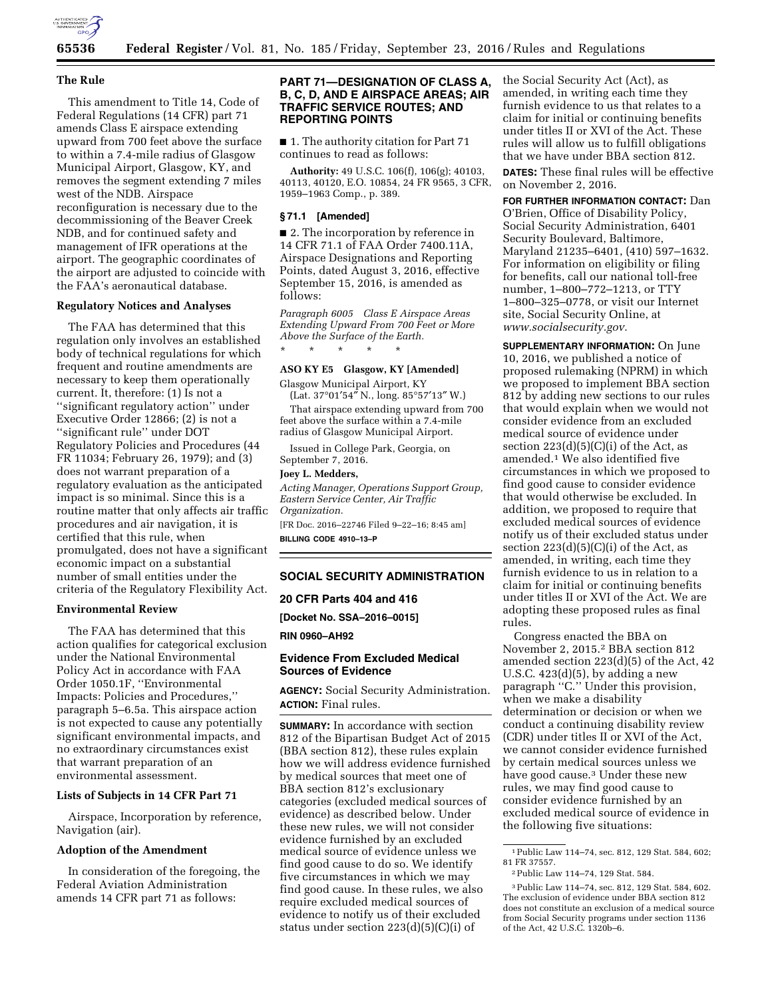

## **The Rule**

This amendment to Title 14, Code of Federal Regulations (14 CFR) part 71 amends Class E airspace extending upward from 700 feet above the surface to within a 7.4-mile radius of Glasgow Municipal Airport, Glasgow, KY, and removes the segment extending 7 miles west of the NDB. Airspace reconfiguration is necessary due to the decommissioning of the Beaver Creek NDB, and for continued safety and management of IFR operations at the airport. The geographic coordinates of the airport are adjusted to coincide with the FAA's aeronautical database.

### **Regulatory Notices and Analyses**

The FAA has determined that this regulation only involves an established body of technical regulations for which frequent and routine amendments are necessary to keep them operationally current. It, therefore: (1) Is not a ''significant regulatory action'' under Executive Order 12866; (2) is not a ''significant rule'' under DOT Regulatory Policies and Procedures (44 FR 11034; February 26, 1979); and (3) does not warrant preparation of a regulatory evaluation as the anticipated impact is so minimal. Since this is a routine matter that only affects air traffic procedures and air navigation, it is certified that this rule, when promulgated, does not have a significant economic impact on a substantial number of small entities under the criteria of the Regulatory Flexibility Act.

## **Environmental Review**

The FAA has determined that this action qualifies for categorical exclusion under the National Environmental Policy Act in accordance with FAA Order 1050.1F, ''Environmental Impacts: Policies and Procedures,'' paragraph 5–6.5a. This airspace action is not expected to cause any potentially significant environmental impacts, and no extraordinary circumstances exist that warrant preparation of an environmental assessment.

# **Lists of Subjects in 14 CFR Part 71**

Airspace, Incorporation by reference, Navigation (air).

## **Adoption of the Amendment**

In consideration of the foregoing, the Federal Aviation Administration amends 14 CFR part 71 as follows:

# **PART 71—DESIGNATION OF CLASS A, B, C, D, AND E AIRSPACE AREAS; AIR TRAFFIC SERVICE ROUTES; AND REPORTING POINTS**

■ 1. The authority citation for Part 71 continues to read as follows:

**Authority:** 49 U.S.C. 106(f), 106(g); 40103, 40113, 40120, E.O. 10854, 24 FR 9565, 3 CFR, 1959–1963 Comp., p. 389.

### **§ 71.1 [Amended]**

■ 2. The incorporation by reference in 14 CFR 71.1 of FAA Order 7400.11A, Airspace Designations and Reporting Points, dated August 3, 2016, effective September 15, 2016, is amended as follows:

*Paragraph 6005 Class E Airspace Areas Extending Upward From 700 Feet or More Above the Surface of the Earth.* 

#### **ASO KY E5 Glasgow, KY [Amended]**

Glasgow Municipal Airport, KY

\* \* \* \* \*

(Lat. 37°01′54″ N., long. 85°57′13″ W.) That airspace extending upward from 700

feet above the surface within a 7.4-mile radius of Glasgow Municipal Airport.

Issued in College Park, Georgia, on September 7, 2016.

## **Joey L. Medders,**

*Acting Manager, Operations Support Group, Eastern Service Center, Air Traffic Organization.* 

[FR Doc. 2016–22746 Filed 9–22–16; 8:45 am] **BILLING CODE 4910–13–P** 

## **SOCIAL SECURITY ADMINISTRATION**

**20 CFR Parts 404 and 416** 

**[Docket No. SSA–2016–0015]** 

**RIN 0960–AH92** 

## **Evidence From Excluded Medical Sources of Evidence**

**AGENCY:** Social Security Administration. **ACTION:** Final rules.

**SUMMARY:** In accordance with section 812 of the Bipartisan Budget Act of 2015 (BBA section 812), these rules explain how we will address evidence furnished by medical sources that meet one of BBA section 812's exclusionary categories (excluded medical sources of evidence) as described below. Under these new rules, we will not consider evidence furnished by an excluded medical source of evidence unless we find good cause to do so. We identify five circumstances in which we may find good cause. In these rules, we also require excluded medical sources of evidence to notify us of their excluded status under section 223(d)(5)(C)(i) of

the Social Security Act (Act), as amended, in writing each time they furnish evidence to us that relates to a claim for initial or continuing benefits under titles II or XVI of the Act. These rules will allow us to fulfill obligations that we have under BBA section 812.

**DATES:** These final rules will be effective on November 2, 2016.

**FOR FURTHER INFORMATION CONTACT:** Dan O'Brien, Office of Disability Policy, Social Security Administration, 6401 Security Boulevard, Baltimore, Maryland 21235–6401, (410) 597–1632. For information on eligibility or filing for benefits, call our national toll-free number, 1–800–772–1213, or TTY 1–800–325–0778, or visit our Internet site, Social Security Online, at *[www.socialsecurity.gov.](http://www.socialsecurity.gov)* 

**SUPPLEMENTARY INFORMATION:** On June 10, 2016, we published a notice of proposed rulemaking (NPRM) in which we proposed to implement BBA section 812 by adding new sections to our rules that would explain when we would not consider evidence from an excluded medical source of evidence under section  $223(d)(5)(C)(i)$  of the Act, as amended.1 We also identified five circumstances in which we proposed to find good cause to consider evidence that would otherwise be excluded. In addition, we proposed to require that excluded medical sources of evidence notify us of their excluded status under section  $223(d)(5)(C)(i)$  of the Act, as amended, in writing, each time they furnish evidence to us in relation to a claim for initial or continuing benefits under titles II or XVI of the Act. We are adopting these proposed rules as final rules.

Congress enacted the BBA on November 2, 2015.2 BBA section 812 amended section 223(d)(5) of the Act, 42 U.S.C.  $423(d)(5)$ , by adding a new paragraph ''C.'' Under this provision, when we make a disability determination or decision or when we conduct a continuing disability review (CDR) under titles II or XVI of the Act, we cannot consider evidence furnished by certain medical sources unless we have good cause.3 Under these new rules, we may find good cause to consider evidence furnished by an excluded medical source of evidence in the following five situations:

<sup>1</sup>Public Law 114–74, sec. 812, 129 Stat. 584, 602; 81 FR 37557.

<sup>2</sup>Public Law 114–74, 129 Stat. 584.

<sup>3</sup>Public Law 114–74, sec. 812, 129 Stat. 584, 602. The exclusion of evidence under BBA section 812 does not constitute an exclusion of a medical source from Social Security programs under section 1136 of the Act, 42 U.S.C. 1320b–6.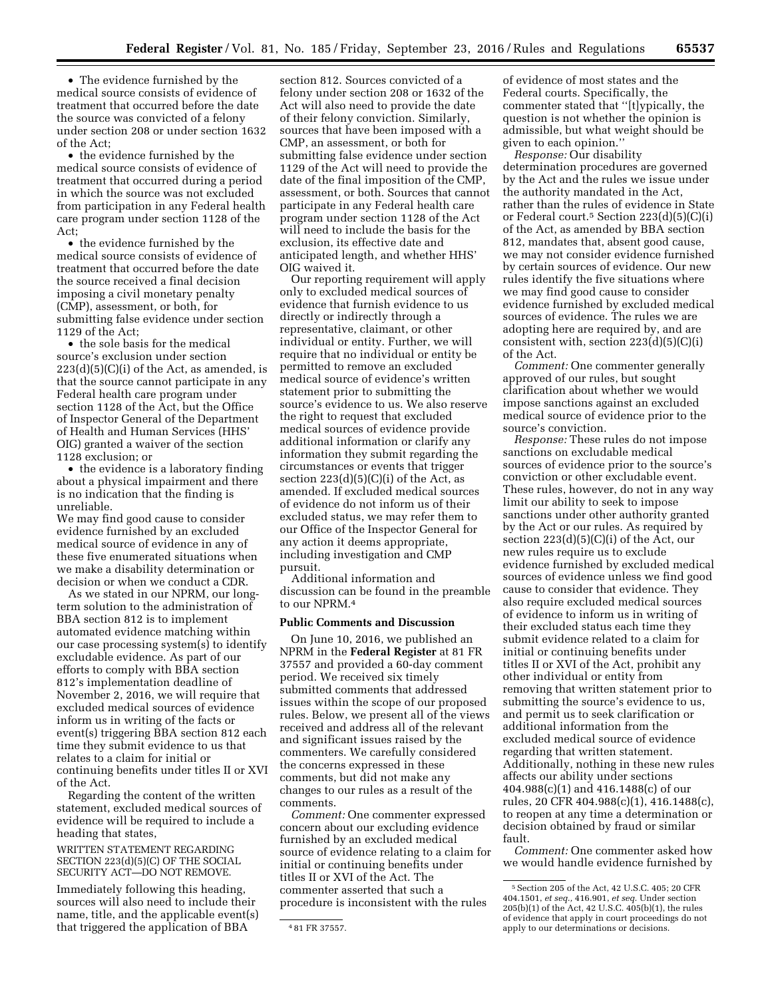• The evidence furnished by the medical source consists of evidence of treatment that occurred before the date the source was convicted of a felony under section 208 or under section 1632 of the Act;

• the evidence furnished by the medical source consists of evidence of treatment that occurred during a period in which the source was not excluded from participation in any Federal health care program under section 1128 of the Act;

• the evidence furnished by the medical source consists of evidence of treatment that occurred before the date the source received a final decision imposing a civil monetary penalty (CMP), assessment, or both, for submitting false evidence under section 1129 of the Act;

• the sole basis for the medical source's exclusion under section  $223(d)(5)(C)(i)$  of the Act, as amended, is that the source cannot participate in any Federal health care program under section 1128 of the Act, but the Office of Inspector General of the Department of Health and Human Services (HHS' OIG) granted a waiver of the section 1128 exclusion; or

• the evidence is a laboratory finding about a physical impairment and there is no indication that the finding is unreliable.

We may find good cause to consider evidence furnished by an excluded medical source of evidence in any of these five enumerated situations when we make a disability determination or decision or when we conduct a CDR.

As we stated in our NPRM, our longterm solution to the administration of BBA section 812 is to implement automated evidence matching within our case processing system(s) to identify excludable evidence. As part of our efforts to comply with BBA section 812's implementation deadline of November 2, 2016, we will require that excluded medical sources of evidence inform us in writing of the facts or event(s) triggering BBA section 812 each time they submit evidence to us that relates to a claim for initial or continuing benefits under titles II or XVI of the Act.

Regarding the content of the written statement, excluded medical sources of evidence will be required to include a heading that states,

WRITTEN STATEMENT REGARDING SECTION 223(d)(5)(C) OF THE SOCIAL SECURITY ACT—DO NOT REMOVE.

Immediately following this heading, sources will also need to include their name, title, and the applicable event(s) that triggered the application of BBA

section 812. Sources convicted of a felony under section 208 or 1632 of the Act will also need to provide the date of their felony conviction. Similarly, sources that have been imposed with a CMP, an assessment, or both for submitting false evidence under section 1129 of the Act will need to provide the date of the final imposition of the CMP, assessment, or both. Sources that cannot participate in any Federal health care program under section 1128 of the Act will need to include the basis for the exclusion, its effective date and anticipated length, and whether HHS' OIG waived it.

Our reporting requirement will apply only to excluded medical sources of evidence that furnish evidence to us directly or indirectly through a representative, claimant, or other individual or entity. Further, we will require that no individual or entity be permitted to remove an excluded medical source of evidence's written statement prior to submitting the source's evidence to us. We also reserve the right to request that excluded medical sources of evidence provide additional information or clarify any information they submit regarding the circumstances or events that trigger section  $223(d)(5)(C)(i)$  of the Act, as amended. If excluded medical sources of evidence do not inform us of their excluded status, we may refer them to our Office of the Inspector General for any action it deems appropriate, including investigation and CMP pursuit.

Additional information and discussion can be found in the preamble to our NPRM.4

# **Public Comments and Discussion**

On June 10, 2016, we published an NPRM in the **Federal Register** at 81 FR 37557 and provided a 60-day comment period. We received six timely submitted comments that addressed issues within the scope of our proposed rules. Below, we present all of the views received and address all of the relevant and significant issues raised by the commenters. We carefully considered the concerns expressed in these comments, but did not make any changes to our rules as a result of the comments.

*Comment:* One commenter expressed concern about our excluding evidence furnished by an excluded medical source of evidence relating to a claim for initial or continuing benefits under titles II or XVI of the Act. The commenter asserted that such a procedure is inconsistent with the rules

of evidence of most states and the Federal courts. Specifically, the commenter stated that ''[t]ypically, the question is not whether the opinion is admissible, but what weight should be given to each opinion.''

*Response:* Our disability determination procedures are governed by the Act and the rules we issue under the authority mandated in the Act, rather than the rules of evidence in State or Federal court.5 Section 223(d)(5)(C)(i) of the Act, as amended by BBA section 812, mandates that, absent good cause, we may not consider evidence furnished by certain sources of evidence. Our new rules identify the five situations where we may find good cause to consider evidence furnished by excluded medical sources of evidence. The rules we are adopting here are required by, and are consistent with, section 223(d)(5)(C)(i) of the Act.

*Comment:* One commenter generally approved of our rules, but sought clarification about whether we would impose sanctions against an excluded medical source of evidence prior to the source's conviction.

*Response:* These rules do not impose sanctions on excludable medical sources of evidence prior to the source's conviction or other excludable event. These rules, however, do not in any way limit our ability to seek to impose sanctions under other authority granted by the Act or our rules. As required by section  $223(d)(5)(C)(i)$  of the Act, our new rules require us to exclude evidence furnished by excluded medical sources of evidence unless we find good cause to consider that evidence. They also require excluded medical sources of evidence to inform us in writing of their excluded status each time they submit evidence related to a claim for initial or continuing benefits under titles II or XVI of the Act, prohibit any other individual or entity from removing that written statement prior to submitting the source's evidence to us, and permit us to seek clarification or additional information from the excluded medical source of evidence regarding that written statement. Additionally, nothing in these new rules affects our ability under sections 404.988(c)(1) and 416.1488(c) of our rules, 20 CFR 404.988(c)(1), 416.1488(c), to reopen at any time a determination or decision obtained by fraud or similar fault.

*Comment:* One commenter asked how we would handle evidence furnished by

<sup>4</sup> 81 FR 37557.

<sup>5</sup>Section 205 of the Act, 42 U.S.C. 405; 20 CFR 404.1501, *et seq.,* 416.901, *et seq.* Under section 205(b)(1) of the Act, 42 U.S.C. 405(b)(1), the rules of evidence that apply in court proceedings do not apply to our determinations or decisions.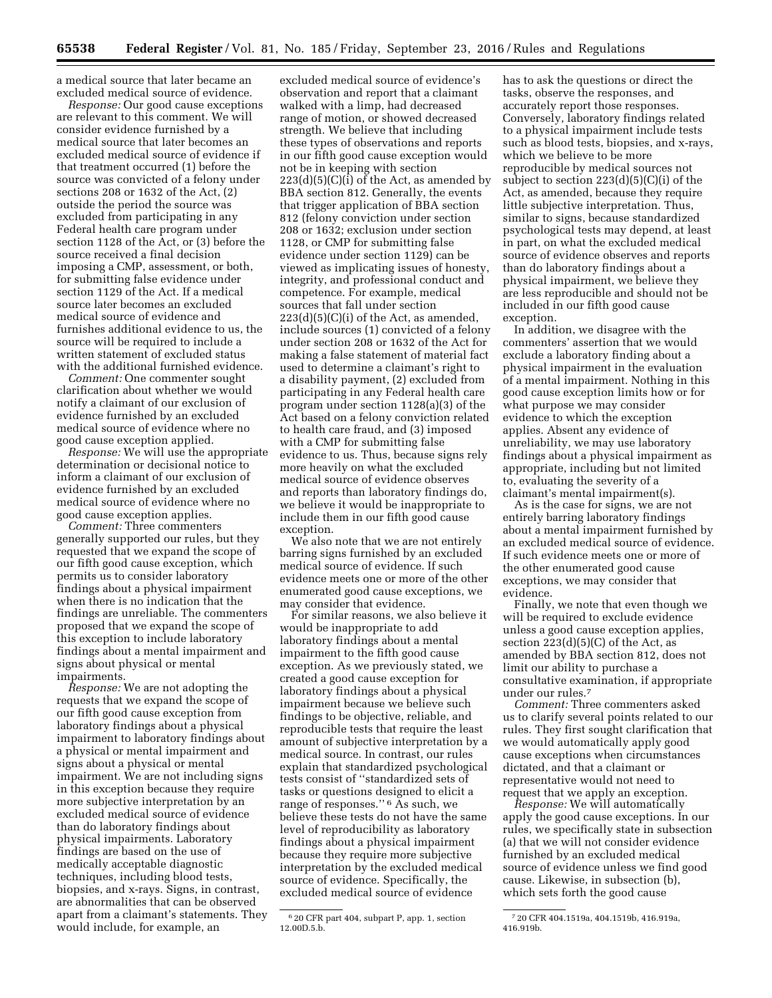a medical source that later became an excluded medical source of evidence.

*Response:* Our good cause exceptions are relevant to this comment. We will consider evidence furnished by a medical source that later becomes an excluded medical source of evidence if that treatment occurred (1) before the source was convicted of a felony under sections 208 or 1632 of the Act, (2) outside the period the source was excluded from participating in any Federal health care program under section 1128 of the Act, or (3) before the source received a final decision imposing a CMP, assessment, or both, for submitting false evidence under section 1129 of the Act. If a medical source later becomes an excluded medical source of evidence and furnishes additional evidence to us, the source will be required to include a written statement of excluded status with the additional furnished evidence.

*Comment:* One commenter sought clarification about whether we would notify a claimant of our exclusion of evidence furnished by an excluded medical source of evidence where no good cause exception applied.

*Response:* We will use the appropriate determination or decisional notice to inform a claimant of our exclusion of evidence furnished by an excluded medical source of evidence where no good cause exception applies.

*Comment:* Three commenters generally supported our rules, but they requested that we expand the scope of our fifth good cause exception, which permits us to consider laboratory findings about a physical impairment when there is no indication that the findings are unreliable. The commenters proposed that we expand the scope of this exception to include laboratory findings about a mental impairment and signs about physical or mental impairments.

*Response:* We are not adopting the requests that we expand the scope of our fifth good cause exception from laboratory findings about a physical impairment to laboratory findings about a physical or mental impairment and signs about a physical or mental impairment. We are not including signs in this exception because they require more subjective interpretation by an excluded medical source of evidence than do laboratory findings about physical impairments. Laboratory findings are based on the use of medically acceptable diagnostic techniques, including blood tests, biopsies, and x-rays. Signs, in contrast, are abnormalities that can be observed apart from a claimant's statements. They would include, for example, an

excluded medical source of evidence's observation and report that a claimant walked with a limp, had decreased range of motion, or showed decreased strength. We believe that including these types of observations and reports in our fifth good cause exception would not be in keeping with section  $223(d)(5)(C)(i)$  of the Act, as amended by BBA section 812. Generally, the events that trigger application of BBA section 812 (felony conviction under section 208 or 1632; exclusion under section 1128, or CMP for submitting false evidence under section 1129) can be viewed as implicating issues of honesty, integrity, and professional conduct and competence. For example, medical sources that fall under section  $223(d)(5)(C)(i)$  of the Act, as amended, include sources (1) convicted of a felony under section 208 or 1632 of the Act for making a false statement of material fact used to determine a claimant's right to a disability payment, (2) excluded from participating in any Federal health care program under section 1128(a)(3) of the Act based on a felony conviction related to health care fraud, and (3) imposed with a CMP for submitting false evidence to us. Thus, because signs rely more heavily on what the excluded medical source of evidence observes and reports than laboratory findings do, we believe it would be inappropriate to include them in our fifth good cause exception.

We also note that we are not entirely barring signs furnished by an excluded medical source of evidence. If such evidence meets one or more of the other enumerated good cause exceptions, we may consider that evidence.

For similar reasons, we also believe it would be inappropriate to add laboratory findings about a mental impairment to the fifth good cause exception. As we previously stated, we created a good cause exception for laboratory findings about a physical impairment because we believe such findings to be objective, reliable, and reproducible tests that require the least amount of subjective interpretation by a medical source. In contrast, our rules explain that standardized psychological tests consist of ''standardized sets of tasks or questions designed to elicit a range of responses.'' 6 As such, we believe these tests do not have the same level of reproducibility as laboratory findings about a physical impairment because they require more subjective interpretation by the excluded medical source of evidence. Specifically, the excluded medical source of evidence

has to ask the questions or direct the tasks, observe the responses, and accurately report those responses. Conversely, laboratory findings related to a physical impairment include tests such as blood tests, biopsies, and x-rays, which we believe to be more reproducible by medical sources not subject to section 223(d)(5)(C)(i) of the Act, as amended, because they require little subjective interpretation. Thus, similar to signs, because standardized psychological tests may depend, at least in part, on what the excluded medical source of evidence observes and reports than do laboratory findings about a physical impairment, we believe they are less reproducible and should not be included in our fifth good cause exception.

In addition, we disagree with the commenters' assertion that we would exclude a laboratory finding about a physical impairment in the evaluation of a mental impairment. Nothing in this good cause exception limits how or for what purpose we may consider evidence to which the exception applies. Absent any evidence of unreliability, we may use laboratory findings about a physical impairment as appropriate, including but not limited to, evaluating the severity of a claimant's mental impairment(s).

As is the case for signs, we are not entirely barring laboratory findings about a mental impairment furnished by an excluded medical source of evidence. If such evidence meets one or more of the other enumerated good cause exceptions, we may consider that evidence.

Finally, we note that even though we will be required to exclude evidence unless a good cause exception applies, section  $223(d)(5)(C)$  of the Act, as amended by BBA section 812, does not limit our ability to purchase a consultative examination, if appropriate under our rules.7

*Comment:* Three commenters asked us to clarify several points related to our rules. They first sought clarification that we would automatically apply good cause exceptions when circumstances dictated, and that a claimant or representative would not need to request that we apply an exception.

*Response:* We will automatically apply the good cause exceptions. In our rules, we specifically state in subsection (a) that we will not consider evidence furnished by an excluded medical source of evidence unless we find good cause. Likewise, in subsection (b), which sets forth the good cause

<sup>6</sup> 20 CFR part 404, subpart P, app. 1, section 12.00D.5.b.

<sup>7</sup> 20 CFR 404.1519a, 404.1519b, 416.919a, 416.919b.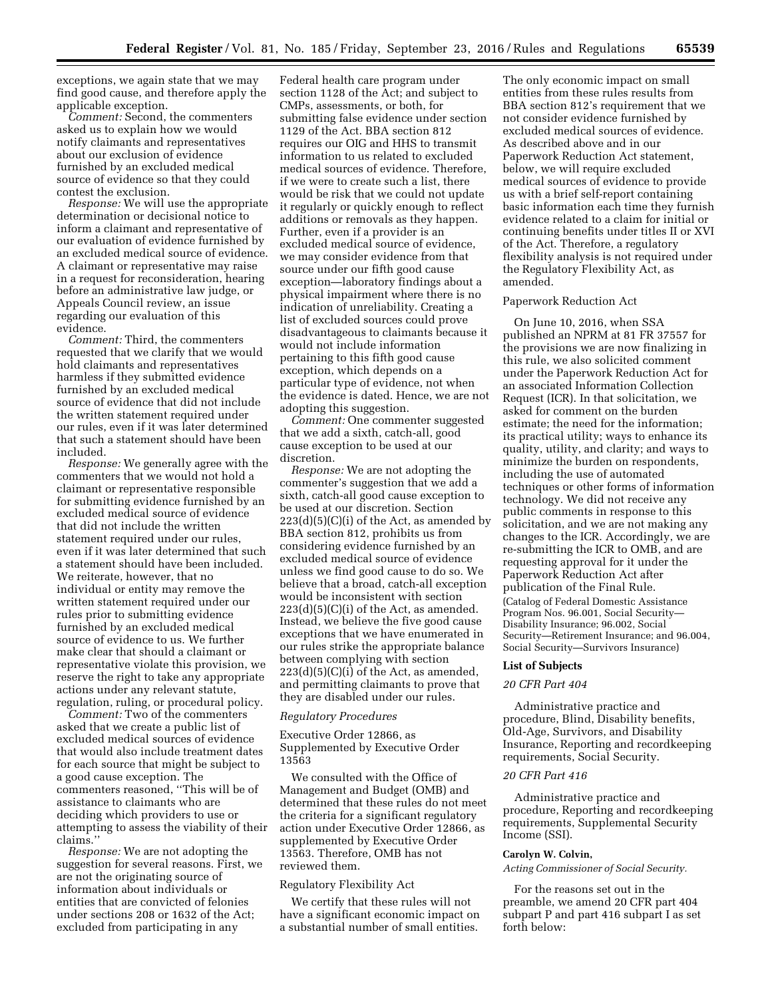exceptions, we again state that we may find good cause, and therefore apply the applicable exception.

*Comment:* Second, the commenters asked us to explain how we would notify claimants and representatives about our exclusion of evidence furnished by an excluded medical source of evidence so that they could contest the exclusion.

*Response:* We will use the appropriate determination or decisional notice to inform a claimant and representative of our evaluation of evidence furnished by an excluded medical source of evidence. A claimant or representative may raise in a request for reconsideration, hearing before an administrative law judge, or Appeals Council review, an issue regarding our evaluation of this evidence.

*Comment:* Third, the commenters requested that we clarify that we would hold claimants and representatives harmless if they submitted evidence furnished by an excluded medical source of evidence that did not include the written statement required under our rules, even if it was later determined that such a statement should have been included.

*Response:* We generally agree with the commenters that we would not hold a claimant or representative responsible for submitting evidence furnished by an excluded medical source of evidence that did not include the written statement required under our rules, even if it was later determined that such a statement should have been included. We reiterate, however, that no individual or entity may remove the written statement required under our rules prior to submitting evidence furnished by an excluded medical source of evidence to us. We further make clear that should a claimant or representative violate this provision, we reserve the right to take any appropriate actions under any relevant statute, regulation, ruling, or procedural policy.

*Comment:* Two of the commenters asked that we create a public list of excluded medical sources of evidence that would also include treatment dates for each source that might be subject to a good cause exception. The commenters reasoned, ''This will be of assistance to claimants who are deciding which providers to use or attempting to assess the viability of their claims.''

*Response:* We are not adopting the suggestion for several reasons. First, we are not the originating source of information about individuals or entities that are convicted of felonies under sections 208 or 1632 of the Act; excluded from participating in any

Federal health care program under section 1128 of the Act; and subject to CMPs, assessments, or both, for submitting false evidence under section 1129 of the Act. BBA section 812 requires our OIG and HHS to transmit information to us related to excluded medical sources of evidence. Therefore, if we were to create such a list, there would be risk that we could not update it regularly or quickly enough to reflect additions or removals as they happen. Further, even if a provider is an excluded medical source of evidence, we may consider evidence from that source under our fifth good cause exception—laboratory findings about a physical impairment where there is no indication of unreliability. Creating a list of excluded sources could prove disadvantageous to claimants because it would not include information pertaining to this fifth good cause exception, which depends on a particular type of evidence, not when the evidence is dated. Hence, we are not adopting this suggestion.

*Comment:* One commenter suggested that we add a sixth, catch-all, good cause exception to be used at our discretion.

*Response:* We are not adopting the commenter's suggestion that we add a sixth, catch-all good cause exception to be used at our discretion. Section  $223(d)(5)(C)(i)$  of the Act, as amended by BBA section 812, prohibits us from considering evidence furnished by an excluded medical source of evidence unless we find good cause to do so. We believe that a broad, catch-all exception would be inconsistent with section  $223(d)(5)(C)(i)$  of the Act, as amended. Instead, we believe the five good cause exceptions that we have enumerated in our rules strike the appropriate balance between complying with section  $223(d)(5)(C)(i)$  of the Act, as amended, and permitting claimants to prove that they are disabled under our rules.

#### *Regulatory Procedures*

Executive Order 12866, as Supplemented by Executive Order 13563

We consulted with the Office of Management and Budget (OMB) and determined that these rules do not meet the criteria for a significant regulatory action under Executive Order 12866, as supplemented by Executive Order 13563. Therefore, OMB has not reviewed them.

## Regulatory Flexibility Act

We certify that these rules will not have a significant economic impact on a substantial number of small entities.

The only economic impact on small entities from these rules results from BBA section 812's requirement that we not consider evidence furnished by excluded medical sources of evidence. As described above and in our Paperwork Reduction Act statement, below, we will require excluded medical sources of evidence to provide us with a brief self-report containing basic information each time they furnish evidence related to a claim for initial or continuing benefits under titles II or XVI of the Act. Therefore, a regulatory flexibility analysis is not required under the Regulatory Flexibility Act, as amended.

#### Paperwork Reduction Act

On June 10, 2016, when SSA published an NPRM at 81 FR 37557 for the provisions we are now finalizing in this rule, we also solicited comment under the Paperwork Reduction Act for an associated Information Collection Request (ICR). In that solicitation, we asked for comment on the burden estimate; the need for the information; its practical utility; ways to enhance its quality, utility, and clarity; and ways to minimize the burden on respondents, including the use of automated techniques or other forms of information technology. We did not receive any public comments in response to this solicitation, and we are not making any changes to the ICR. Accordingly, we are re-submitting the ICR to OMB, and are requesting approval for it under the Paperwork Reduction Act after publication of the Final Rule. (Catalog of Federal Domestic Assistance Program Nos. 96.001, Social Security— Disability Insurance; 96.002, Social Security—Retirement Insurance; and 96.004, Social Security—Survivors Insurance)

#### **List of Subjects**

# *20 CFR Part 404*

Administrative practice and procedure, Blind, Disability benefits, Old-Age, Survivors, and Disability Insurance, Reporting and recordkeeping requirements, Social Security.

## *20 CFR Part 416*

Administrative practice and procedure, Reporting and recordkeeping requirements, Supplemental Security Income (SSI).

#### **Carolyn W. Colvin,**

*Acting Commissioner of Social Security.* 

For the reasons set out in the preamble, we amend 20 CFR part 404 subpart P and part 416 subpart I as set forth below: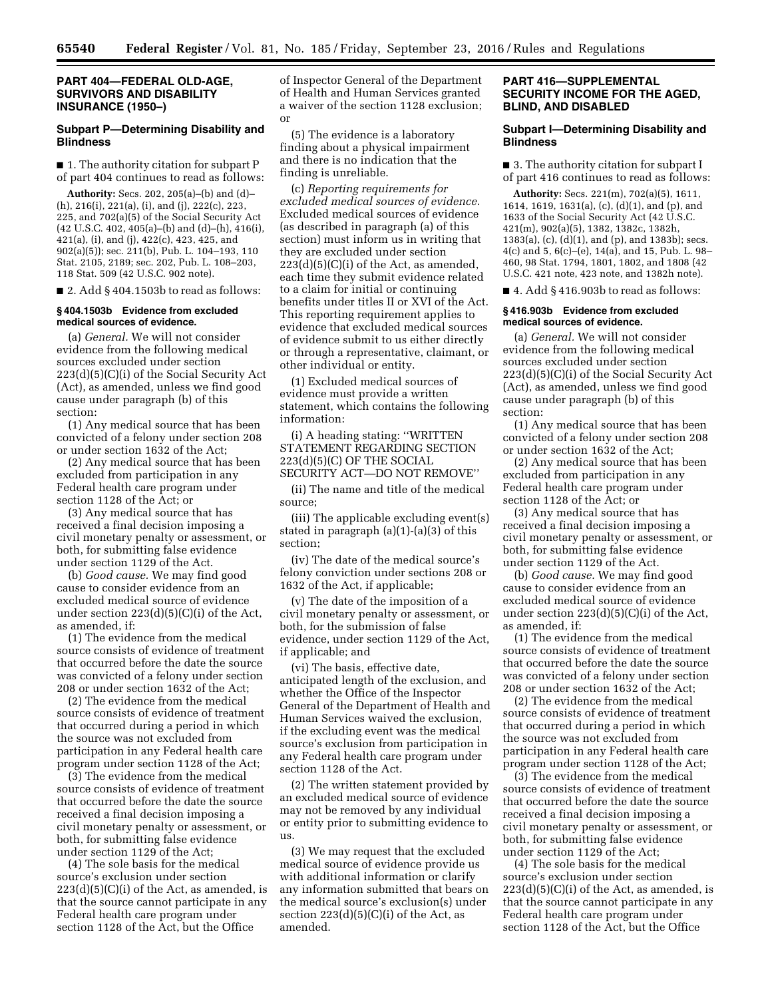## **PART 404—FEDERAL OLD-AGE, SURVIVORS AND DISABILITY INSURANCE (1950–)**

# **Subpart P—Determining Disability and Blindness**

■ 1. The authority citation for subpart P of part 404 continues to read as follows:

**Authority:** Secs. 202, 205(a)–(b) and (d)– (h), 216(i), 221(a), (i), and (j), 222(c), 223, 225, and 702(a)(5) of the Social Security Act (42 U.S.C. 402, 405(a)–(b) and (d)–(h), 416(i), 421(a), (i), and (j), 422(c), 423, 425, and 902(a)(5)); sec. 211(b), Pub. L. 104–193, 110 Stat. 2105, 2189; sec. 202, Pub. L. 108–203, 118 Stat. 509 (42 U.S.C. 902 note).

■ 2. Add § 404.1503b to read as follows:

#### **§ 404.1503b Evidence from excluded medical sources of evidence.**

(a) *General.* We will not consider evidence from the following medical sources excluded under section 223(d)(5)(C)(i) of the Social Security Act (Act), as amended, unless we find good cause under paragraph (b) of this section:

(1) Any medical source that has been convicted of a felony under section 208 or under section 1632 of the Act;

(2) Any medical source that has been excluded from participation in any Federal health care program under section 1128 of the Act; or

(3) Any medical source that has received a final decision imposing a civil monetary penalty or assessment, or both, for submitting false evidence under section 1129 of the Act.

(b) *Good cause.* We may find good cause to consider evidence from an excluded medical source of evidence under section 223(d)(5)(C)(i) of the Act, as amended, if:

(1) The evidence from the medical source consists of evidence of treatment that occurred before the date the source was convicted of a felony under section 208 or under section 1632 of the Act;

(2) The evidence from the medical source consists of evidence of treatment that occurred during a period in which the source was not excluded from participation in any Federal health care program under section 1128 of the Act;

(3) The evidence from the medical source consists of evidence of treatment that occurred before the date the source received a final decision imposing a civil monetary penalty or assessment, or both, for submitting false evidence under section 1129 of the Act;

(4) The sole basis for the medical source's exclusion under section  $223(d)(5)(C)(i)$  of the Act, as amended, is that the source cannot participate in any Federal health care program under section 1128 of the Act, but the Office

of Inspector General of the Department of Health and Human Services granted a waiver of the section 1128 exclusion; or

(5) The evidence is a laboratory finding about a physical impairment and there is no indication that the finding is unreliable.

(c) *Reporting requirements for excluded medical sources of evidence.*  Excluded medical sources of evidence (as described in paragraph (a) of this section) must inform us in writing that they are excluded under section  $223(d)(5)(C)(i)$  of the Act, as amended, each time they submit evidence related to a claim for initial or continuing benefits under titles II or XVI of the Act. This reporting requirement applies to evidence that excluded medical sources of evidence submit to us either directly or through a representative, claimant, or other individual or entity.

(1) Excluded medical sources of evidence must provide a written statement, which contains the following information:

(i) A heading stating: ''WRITTEN STATEMENT REGARDING SECTION 223(d)(5)(C) OF THE SOCIAL SECURITY ACT—DO NOT REMOVE''

(ii) The name and title of the medical source;

(iii) The applicable excluding event(s) stated in paragraph (a)(1)-(a)(3) of this section;

(iv) The date of the medical source's felony conviction under sections 208 or 1632 of the Act, if applicable;

(v) The date of the imposition of a civil monetary penalty or assessment, or both, for the submission of false evidence, under section 1129 of the Act, if applicable; and

(vi) The basis, effective date, anticipated length of the exclusion, and whether the Office of the Inspector General of the Department of Health and Human Services waived the exclusion, if the excluding event was the medical source's exclusion from participation in any Federal health care program under section 1128 of the Act.

(2) The written statement provided by an excluded medical source of evidence may not be removed by any individual or entity prior to submitting evidence to us.

(3) We may request that the excluded medical source of evidence provide us with additional information or clarify any information submitted that bears on the medical source's exclusion(s) under section  $223(d)(5)(C)(i)$  of the Act, as amended.

# **PART 416—SUPPLEMENTAL SECURITY INCOME FOR THE AGED, BLIND, AND DISABLED**

## **Subpart I—Determining Disability and Blindness**

■ 3. The authority citation for subpart I of part 416 continues to read as follows:

**Authority:** Secs. 221(m), 702(a)(5), 1611, 1614, 1619, 1631(a), (c), (d)(1), and (p), and 1633 of the Social Security Act (42 U.S.C. 421(m), 902(a)(5), 1382, 1382c, 1382h, 1383(a), (c), (d)(1), and (p), and 1383b); secs. 4(c) and 5, 6(c)–(e), 14(a), and 15, Pub. L. 98– 460, 98 Stat. 1794, 1801, 1802, and 1808 (42 U.S.C. 421 note, 423 note, and 1382h note).

■ 4. Add § 416.903b to read as follows:

#### **§ 416.903b Evidence from excluded medical sources of evidence.**

(a) *General.* We will not consider evidence from the following medical sources excluded under section 223(d)(5)(C)(i) of the Social Security Act (Act), as amended, unless we find good cause under paragraph (b) of this section:

(1) Any medical source that has been convicted of a felony under section 208 or under section 1632 of the Act;

(2) Any medical source that has been excluded from participation in any Federal health care program under section 1128 of the Act; or

(3) Any medical source that has received a final decision imposing a civil monetary penalty or assessment, or both, for submitting false evidence under section 1129 of the Act.

(b) *Good cause.* We may find good cause to consider evidence from an excluded medical source of evidence under section 223(d)(5)(C)(i) of the Act, as amended, if:

(1) The evidence from the medical source consists of evidence of treatment that occurred before the date the source was convicted of a felony under section 208 or under section 1632 of the Act;

(2) The evidence from the medical source consists of evidence of treatment that occurred during a period in which the source was not excluded from participation in any Federal health care program under section 1128 of the Act;

(3) The evidence from the medical source consists of evidence of treatment that occurred before the date the source received a final decision imposing a civil monetary penalty or assessment, or both, for submitting false evidence under section 1129 of the Act;

(4) The sole basis for the medical source's exclusion under section  $223(d)(5)(C)(i)$  of the Act, as amended, is that the source cannot participate in any Federal health care program under section 1128 of the Act, but the Office